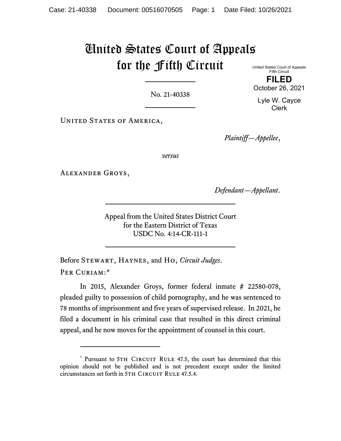## United States Court of Appeals for the Fifth Circuit

No. 21-40338

United States Court of Appeals Fifth Circuit **FILED**

October 26, 2021

Lyle W. Cayce Clerk

UNITED STATES OF AMERICA,

*Plaintiff—Appellee*,

*versus*

Alexander Groys,

*Defendant—Appellant*.

Appeal from the United States District Court for the Eastern District of Texas USDC No. 4:14-CR-111-1

Before Stewart, Haynes, and Ho, *Circuit Judges*. PER CURIAM:[\\*](#page-0-0)

In 2015, Alexander Groys, former federal inmate # 22580-078, pleaded guilty to possession of child pornography, and he was sentenced to 78 months of imprisonment and five years of supervised release. In 2021, he filed a document in his criminal case that resulted in this direct criminal appeal, and he now moves for the appointment of counsel in this court.

<span id="page-0-0"></span><sup>\*</sup> Pursuant to 5TH CIRCUIT RULE 47.5, the court has determined that this opinion should not be published and is not precedent except under the limited circumstances set forth in 5TH CIRCUIT RULE 47.5.4.